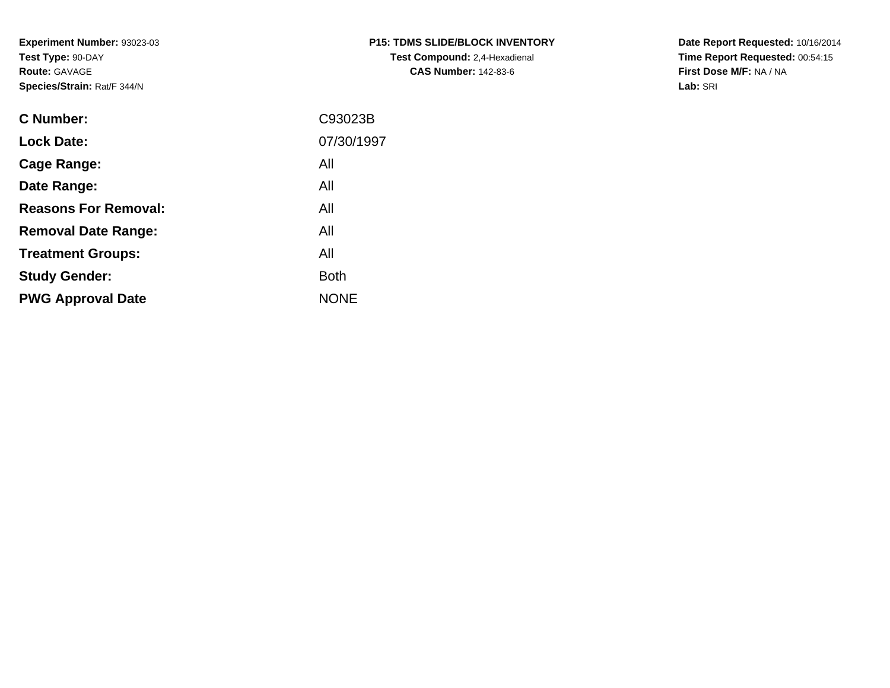**Experiment Number:** 93023-03**Test Type:** 90-DAY**Route:** GAVAGE**Species/Strain:** Rat/F 344/N

| P15: TDMS SLIDE/BLOCK INVENTORY      |
|--------------------------------------|
| <b>Test Compound: 2,4-Hexadienal</b> |
| <b>CAS Number: 142-83-6</b>          |

**Date Report Requested:** 10/16/2014 **Time Report Requested:** 00:54:15**First Dose M/F:** NA / NA**Lab:** SRI

| <b>C</b> Number:            | C93023B     |
|-----------------------------|-------------|
| <b>Lock Date:</b>           | 07/30/1997  |
| Cage Range:                 | All         |
| Date Range:                 | All         |
| <b>Reasons For Removal:</b> | All         |
| <b>Removal Date Range:</b>  | All         |
| <b>Treatment Groups:</b>    | All         |
| <b>Study Gender:</b>        | <b>Both</b> |
| <b>PWG Approval Date</b>    | <b>NONE</b> |
|                             |             |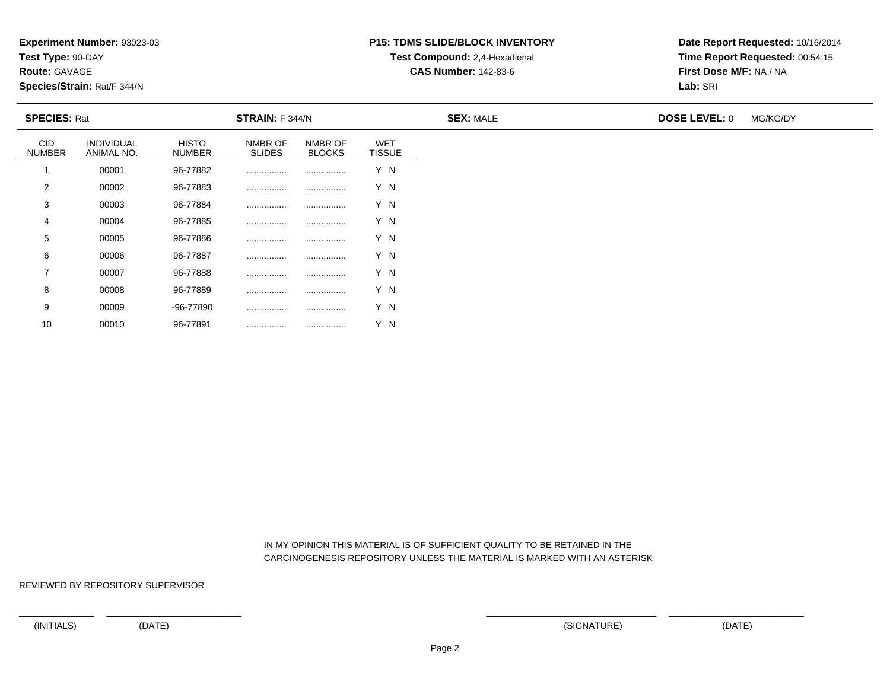**Test Type:** 90-DAY

**Route:** GAVAGE

10

**Species/Strain:** Rat/F 344/N

# **P15: TDMS SLIDE/BLOCK INVENTORYTest Compound:** 2,4-Hexadienal

**CAS Number:** 142-83-6

**Date Report Requested:** 10/16/2014**Time Report Requested:** 00:54:15**First Dose M/F:** NA / NA**Lab:** SRI

| <b>SPECIES: Rat</b>         |                          |                               | <b>STRAIN:</b> F 344/N   |                          |                             | <b>SEX: MALE</b> | <b>DOSE LEVEL: 0</b> | MG/KG/DY |
|-----------------------------|--------------------------|-------------------------------|--------------------------|--------------------------|-----------------------------|------------------|----------------------|----------|
| <b>CID</b><br><b>NUMBER</b> | INDIVIDUAL<br>ANIMAL NO. | <b>HISTO</b><br><b>NUMBER</b> | NMBR OF<br><b>SLIDES</b> | NMBR OF<br><b>BLOCKS</b> | <b>WET</b><br><b>TISSUE</b> |                  |                      |          |
|                             | 00001                    | 96-77882                      |                          |                          | Y N                         |                  |                      |          |
| 2                           | 00002                    | 96-77883                      |                          |                          | Y N                         |                  |                      |          |
| 3                           | 00003                    | 96-77884                      |                          |                          | Y N                         |                  |                      |          |
| 4                           | 00004                    | 96-77885                      | .                        |                          | Y N                         |                  |                      |          |
| 5                           | 00005                    | 96-77886                      |                          |                          | Y N                         |                  |                      |          |
| 6                           | 00006                    | 96-77887                      |                          |                          | Y N                         |                  |                      |          |
| $\overline{\phantom{a}}$    | 00007                    | 96-77888                      |                          |                          | Y N                         |                  |                      |          |
| 8                           | 00008                    | 96-77889                      |                          |                          | Y N                         |                  |                      |          |
| 9                           | 00009                    | -96-77890                     |                          |                          | Y N                         |                  |                      |          |

 IN MY OPINION THIS MATERIAL IS OF SUFFICIENT QUALITY TO BE RETAINED IN THECARCINOGENESIS REPOSITORY UNLESS THE MATERIAL IS MARKED WITH AN ASTERISK

REVIEWED BY REPOSITORY SUPERVISOR

<sup>00010</sup> 96-77891 ................ ................ Y N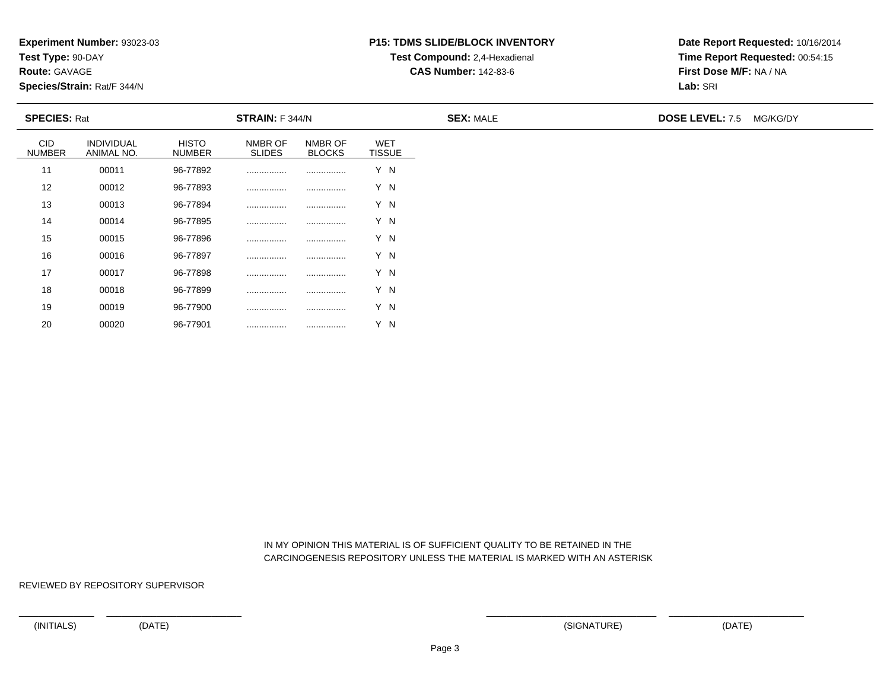**Test Type:** 90-DAY

**Route:** GAVAGE

20

**Species/Strain:** Rat/F 344/N

# **P15: TDMS SLIDE/BLOCK INVENTORYTest Compound:** 2,4-Hexadienal

**CAS Number:** 142-83-6

**Date Report Requested:** 10/16/2014**Time Report Requested:** 00:54:15**First Dose M/F:** NA / NA**Lab:** SRI

| <b>SPECIES: Rat</b>  |                          |                        | STRAIN: F 344/N          |                          |                             | <b>SEX: MALE</b> | <b>DOSE LEVEL: 7.5 MG/KG/DY</b> |  |
|----------------------|--------------------------|------------------------|--------------------------|--------------------------|-----------------------------|------------------|---------------------------------|--|
| CID<br><b>NUMBER</b> | INDIVIDUAL<br>ANIMAL NO. | HISTO<br><b>NUMBER</b> | NMBR OF<br><b>SLIDES</b> | NMBR OF<br><b>BLOCKS</b> | <b>WET</b><br><b>TISSUE</b> |                  |                                 |  |
| 11                   | 00011                    | 96-77892               |                          |                          | Y N                         |                  |                                 |  |
| 12                   | 00012                    | 96-77893               |                          |                          | Y N                         |                  |                                 |  |
| 13                   | 00013                    | 96-77894               |                          |                          | Y N                         |                  |                                 |  |
| 14                   | 00014                    | 96-77895               |                          |                          | Y N                         |                  |                                 |  |
| 15                   | 00015                    | 96-77896               |                          |                          | Y N                         |                  |                                 |  |
| 16                   | 00016                    | 96-77897               |                          |                          | Y N                         |                  |                                 |  |
| 17                   | 00017                    | 96-77898               |                          |                          | Y N                         |                  |                                 |  |
| 18                   | 00018                    | 96-77899               |                          |                          | Y N                         |                  |                                 |  |
| 19                   | 00019                    | 96-77900               |                          |                          | Y N                         |                  |                                 |  |

 IN MY OPINION THIS MATERIAL IS OF SUFFICIENT QUALITY TO BE RETAINED IN THECARCINOGENESIS REPOSITORY UNLESS THE MATERIAL IS MARKED WITH AN ASTERISK

REVIEWED BY REPOSITORY SUPERVISOR

<sup>00020</sup> 96-77901 ................ ................ Y N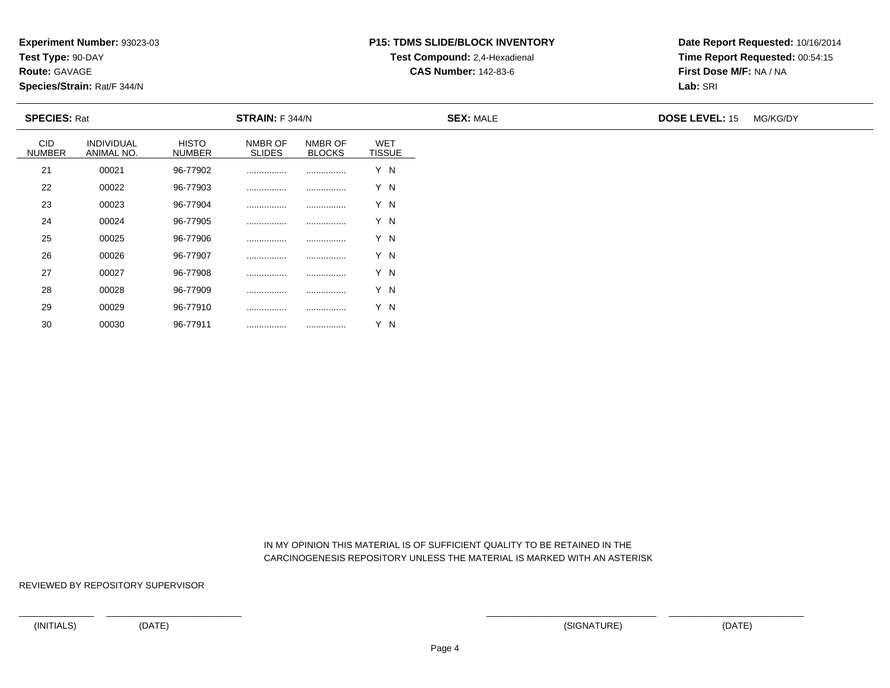**Test Type:** 90-DAY

**Route:** GAVAGE

30

**Species/Strain:** Rat/F 344/N

# **P15: TDMS SLIDE/BLOCK INVENTORYTest Compound:** 2,4-Hexadienal

**CAS Number:** 142-83-6

**Date Report Requested:** 10/16/2014**Time Report Requested:** 00:54:15**First Dose M/F:** NA / NA**Lab:** SRI

| <b>SPECIES: Rat</b>         |                          |                               | <b>STRAIN: F 344/N</b>   |                          |                             | <b>SEX: MALE</b> | <b>DOSE LEVEL: 15</b> | MG/KG/DY |
|-----------------------------|--------------------------|-------------------------------|--------------------------|--------------------------|-----------------------------|------------------|-----------------------|----------|
| <b>CID</b><br><b>NUMBER</b> | INDIVIDUAL<br>ANIMAL NO. | <b>HISTO</b><br><b>NUMBER</b> | NMBR OF<br><b>SLIDES</b> | NMBR OF<br><b>BLOCKS</b> | <b>WET</b><br><b>TISSUE</b> |                  |                       |          |
| 21                          | 00021                    | 96-77902                      |                          |                          | Y N                         |                  |                       |          |
| 22                          | 00022                    | 96-77903                      |                          |                          | Y N                         |                  |                       |          |
| 23                          | 00023                    | 96-77904                      |                          |                          | Y N                         |                  |                       |          |
| 24                          | 00024                    | 96-77905                      |                          |                          | Y N                         |                  |                       |          |
| 25                          | 00025                    | 96-77906                      |                          |                          | Y N                         |                  |                       |          |
| 26                          | 00026                    | 96-77907                      |                          |                          | Y N                         |                  |                       |          |
| 27                          | 00027                    | 96-77908                      |                          |                          | Y N                         |                  |                       |          |
| 28                          | 00028                    | 96-77909                      |                          |                          | Y N                         |                  |                       |          |
| 29                          | 00029                    | 96-77910                      | .                        |                          | Y N                         |                  |                       |          |

 IN MY OPINION THIS MATERIAL IS OF SUFFICIENT QUALITY TO BE RETAINED IN THECARCINOGENESIS REPOSITORY UNLESS THE MATERIAL IS MARKED WITH AN ASTERISK

REVIEWED BY REPOSITORY SUPERVISOR

<sup>00030</sup> 96-77911 ................ ................ Y N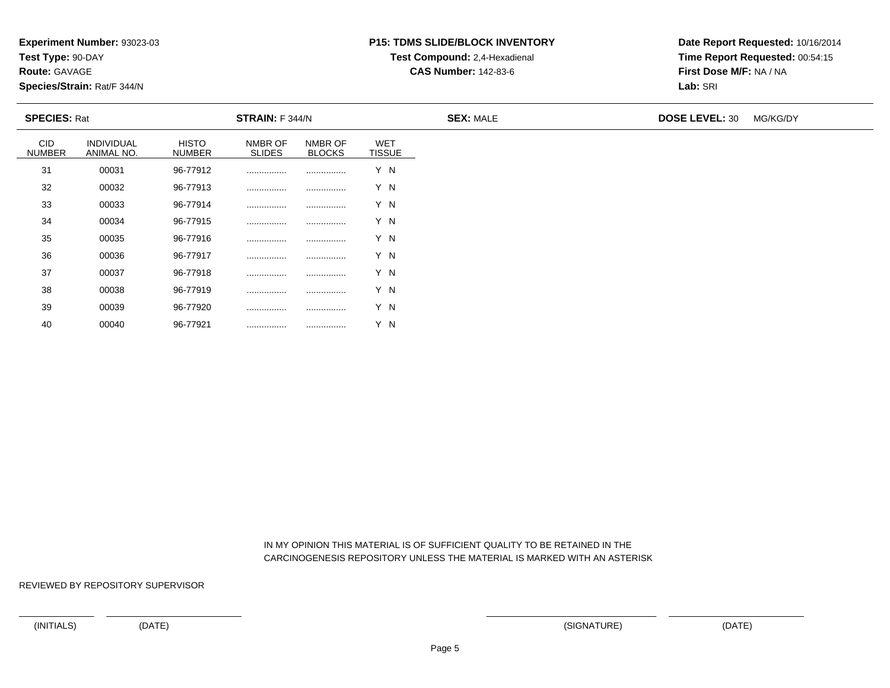**Test Type:** 90-DAY

**Route:** GAVAGE

40

**Species/Strain:** Rat/F 344/N

# **P15: TDMS SLIDE/BLOCK INVENTORYTest Compound:** 2,4-Hexadienal

**CAS Number:** 142-83-6

**Date Report Requested:** 10/16/2014**Time Report Requested:** 00:54:15**First Dose M/F:** NA / NA**Lab:** SRI

| <b>SPECIES: Rat</b>  |                          |                        | STRAIN: F 344/N          |                          |                             | <b>SEX: MALE</b> | <b>DOSE LEVEL: 30</b> | MG/KG/DY |
|----------------------|--------------------------|------------------------|--------------------------|--------------------------|-----------------------------|------------------|-----------------------|----------|
| CID<br><b>NUMBER</b> | INDIVIDUAL<br>ANIMAL NO. | HISTO<br><b>NUMBER</b> | NMBR OF<br><b>SLIDES</b> | NMBR OF<br><b>BLOCKS</b> | <b>WET</b><br><b>TISSUE</b> |                  |                       |          |
| 31                   | 00031                    | 96-77912               |                          |                          | Y N                         |                  |                       |          |
| 32                   | 00032                    | 96-77913               |                          |                          | Y N                         |                  |                       |          |
| 33                   | 00033                    | 96-77914               |                          |                          | Y N                         |                  |                       |          |
| 34                   | 00034                    | 96-77915               |                          |                          | Y N                         |                  |                       |          |
| 35                   | 00035                    | 96-77916               |                          |                          | Y N                         |                  |                       |          |
| 36                   | 00036                    | 96-77917               |                          |                          | Y N                         |                  |                       |          |
| 37                   | 00037                    | 96-77918               |                          |                          | Y N                         |                  |                       |          |
| 38                   | 00038                    | 96-77919               |                          |                          | Y N                         |                  |                       |          |
| 39                   | 00039                    | 96-77920               |                          |                          | Y N                         |                  |                       |          |

 IN MY OPINION THIS MATERIAL IS OF SUFFICIENT QUALITY TO BE RETAINED IN THECARCINOGENESIS REPOSITORY UNLESS THE MATERIAL IS MARKED WITH AN ASTERISK

REVIEWED BY REPOSITORY SUPERVISOR

<sup>00040</sup> 96-77921 ................ ................ Y N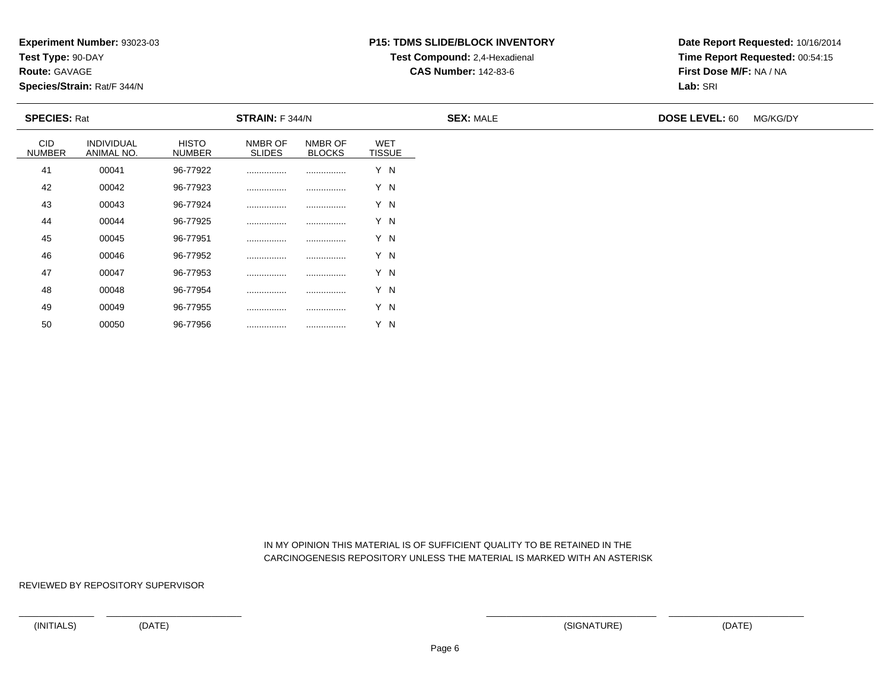**Test Type:** 90-DAY

**Route:** GAVAGE

50

**Species/Strain:** Rat/F 344/N

# **P15: TDMS SLIDE/BLOCK INVENTORYTest Compound:** 2,4-Hexadienal

**CAS Number:** 142-83-6

**Date Report Requested:** 10/16/2014**Time Report Requested:** 00:54:15**First Dose M/F:** NA / NA**Lab:** SRI

| <b>SPECIES: Rat</b>         |                          |                               | <b>STRAIN: F 344/N</b>   |                          |                             | <b>SEX: MALE</b> | <b>DOSE LEVEL: 60</b> | MG/KG/DY |
|-----------------------------|--------------------------|-------------------------------|--------------------------|--------------------------|-----------------------------|------------------|-----------------------|----------|
| <b>CID</b><br><b>NUMBER</b> | INDIVIDUAL<br>ANIMAL NO. | <b>HISTO</b><br><b>NUMBER</b> | NMBR OF<br><b>SLIDES</b> | NMBR OF<br><b>BLOCKS</b> | <b>WET</b><br><b>TISSUE</b> |                  |                       |          |
| 41                          | 00041                    | 96-77922                      |                          |                          | Y N                         |                  |                       |          |
| 42                          | 00042                    | 96-77923                      |                          |                          | Y N                         |                  |                       |          |
| 43                          | 00043                    | 96-77924                      |                          |                          | Y N                         |                  |                       |          |
| 44                          | 00044                    | 96-77925                      |                          |                          | Y N                         |                  |                       |          |
| 45                          | 00045                    | 96-77951                      |                          |                          | Y N                         |                  |                       |          |
| 46                          | 00046                    | 96-77952                      |                          |                          | Y N                         |                  |                       |          |
| 47                          | 00047                    | 96-77953                      |                          |                          | Y N                         |                  |                       |          |
| 48                          | 00048                    | 96-77954                      |                          |                          | Y N                         |                  |                       |          |
| 49                          | 00049                    | 96-77955                      |                          |                          | Y N                         |                  |                       |          |

 IN MY OPINION THIS MATERIAL IS OF SUFFICIENT QUALITY TO BE RETAINED IN THECARCINOGENESIS REPOSITORY UNLESS THE MATERIAL IS MARKED WITH AN ASTERISK

REVIEWED BY REPOSITORY SUPERVISOR

<sup>00050</sup> 96-77956 ................ ................ Y N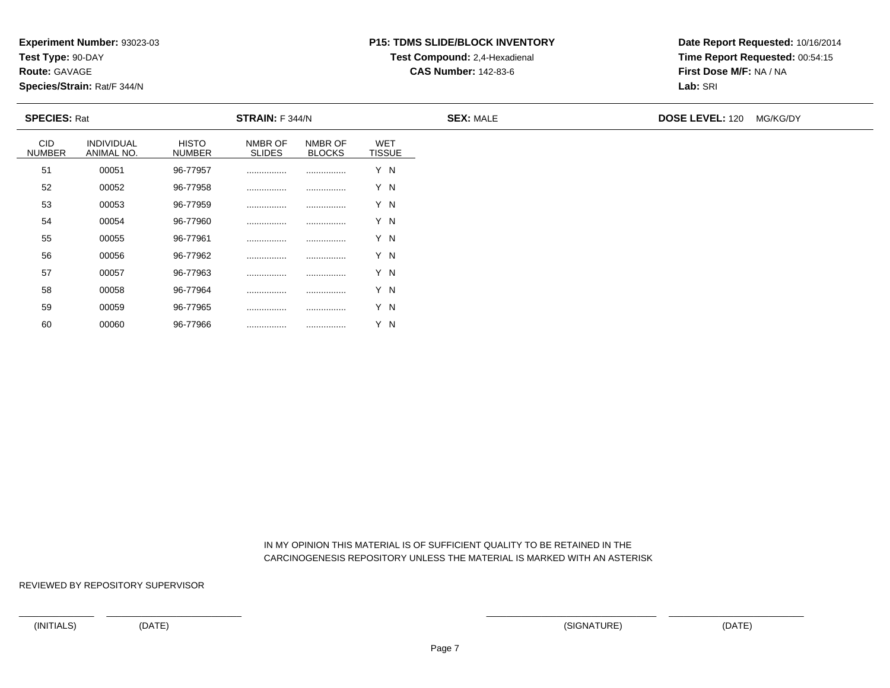**Test Type:** 90-DAY

**Route:** GAVAGE

60

**Species/Strain:** Rat/F 344/N

# **P15: TDMS SLIDE/BLOCK INVENTORYTest Compound:** 2,4-Hexadienal

**CAS Number:** 142-83-6

**Date Report Requested:** 10/16/2014**Time Report Requested:** 00:54:15**First Dose M/F:** NA / NA**Lab:** SRI

| <b>SPECIES: Rat</b>  |                                 |                               | STRAIN: F 344/N          |                          |                             | <b>SEX: MALE</b> | <b>DOSE LEVEL: 120 MG/KG/DY</b> |
|----------------------|---------------------------------|-------------------------------|--------------------------|--------------------------|-----------------------------|------------------|---------------------------------|
| CID<br><b>NUMBER</b> | <b>INDIVIDUAL</b><br>ANIMAL NO. | <b>HISTO</b><br><b>NUMBER</b> | NMBR OF<br><b>SLIDES</b> | NMBR OF<br><b>BLOCKS</b> | <b>WET</b><br><b>TISSUE</b> |                  |                                 |
| 51                   | 00051                           | 96-77957                      |                          |                          | Y N                         |                  |                                 |
| 52                   | 00052                           | 96-77958                      |                          |                          | Y N                         |                  |                                 |
| 53                   | 00053                           | 96-77959                      |                          |                          | Y N                         |                  |                                 |
| 54                   | 00054                           | 96-77960                      |                          |                          | Y N                         |                  |                                 |
| 55                   | 00055                           | 96-77961                      |                          |                          | Y N                         |                  |                                 |
| 56                   | 00056                           | 96-77962                      |                          |                          | Y N                         |                  |                                 |
| 57                   | 00057                           | 96-77963                      |                          |                          | Y N                         |                  |                                 |
| 58                   | 00058                           | 96-77964                      |                          |                          | Y N                         |                  |                                 |
| 59                   | 00059                           | 96-77965                      |                          |                          | Y N                         |                  |                                 |

 IN MY OPINION THIS MATERIAL IS OF SUFFICIENT QUALITY TO BE RETAINED IN THECARCINOGENESIS REPOSITORY UNLESS THE MATERIAL IS MARKED WITH AN ASTERISK

REVIEWED BY REPOSITORY SUPERVISOR

<sup>00060</sup> 96-77966 ................ ................ Y N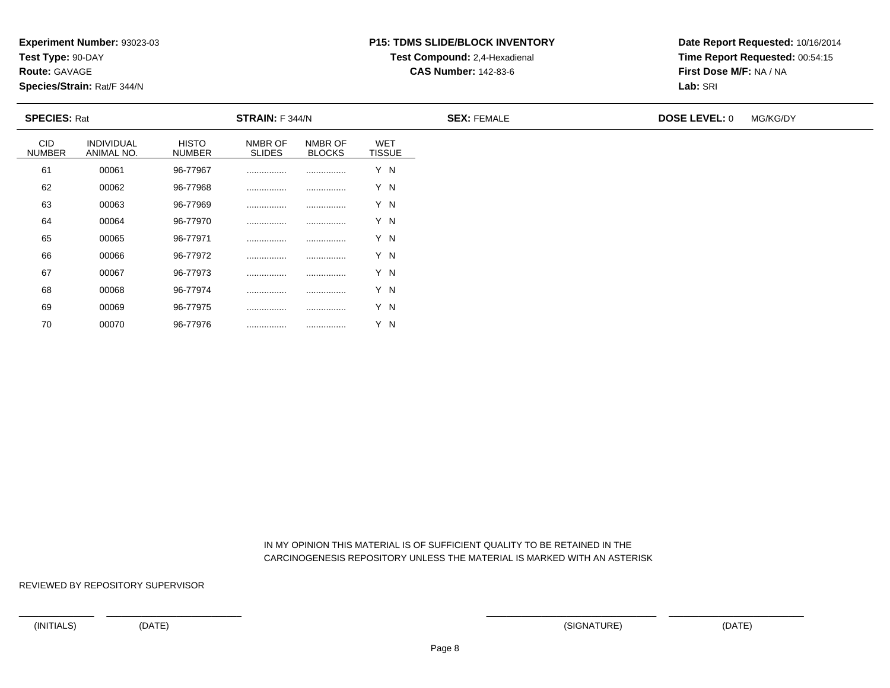**Test Type:** 90-DAY

**Route:** GAVAGE

70

**Species/Strain:** Rat/F 344/N

# **P15: TDMS SLIDE/BLOCK INVENTORYTest Compound:** 2,4-Hexadienal

**CAS Number:** 142-83-6

**Date Report Requested:** 10/16/2014**Time Report Requested:** 00:54:15**First Dose M/F:** NA / NA**Lab:** SRI

| <b>SPECIES: Rat</b>         |                          |                               | STRAIN: F 344/N          |                          |                      | <b>SEX: FEMALE</b> | <b>DOSE LEVEL: 0</b> | MG/KG/DY |
|-----------------------------|--------------------------|-------------------------------|--------------------------|--------------------------|----------------------|--------------------|----------------------|----------|
| <b>CID</b><br><b>NUMBER</b> | INDIVIDUAL<br>ANIMAL NO. | <b>HISTO</b><br><b>NUMBER</b> | NMBR OF<br><b>SLIDES</b> | NMBR OF<br><b>BLOCKS</b> | WET<br><b>TISSUE</b> |                    |                      |          |
| 61                          | 00061                    | 96-77967                      | .                        | .                        | Y N                  |                    |                      |          |
| 62                          | 00062                    | 96-77968                      |                          |                          | Y N                  |                    |                      |          |
| 63                          | 00063                    | 96-77969                      |                          |                          | Y N                  |                    |                      |          |
| 64                          | 00064                    | 96-77970                      |                          |                          | Y N                  |                    |                      |          |
| 65                          | 00065                    | 96-77971                      |                          |                          | Y N                  |                    |                      |          |
| 66                          | 00066                    | 96-77972                      |                          |                          | Y N                  |                    |                      |          |
| 67                          | 00067                    | 96-77973                      |                          |                          | Y N                  |                    |                      |          |
| 68                          | 00068                    | 96-77974                      |                          |                          | Y N                  |                    |                      |          |
| 69                          | 00069                    | 96-77975                      |                          |                          | Y N                  |                    |                      |          |

 IN MY OPINION THIS MATERIAL IS OF SUFFICIENT QUALITY TO BE RETAINED IN THECARCINOGENESIS REPOSITORY UNLESS THE MATERIAL IS MARKED WITH AN ASTERISK

REVIEWED BY REPOSITORY SUPERVISOR

<sup>00070</sup> 96-77976 ................ ................ Y N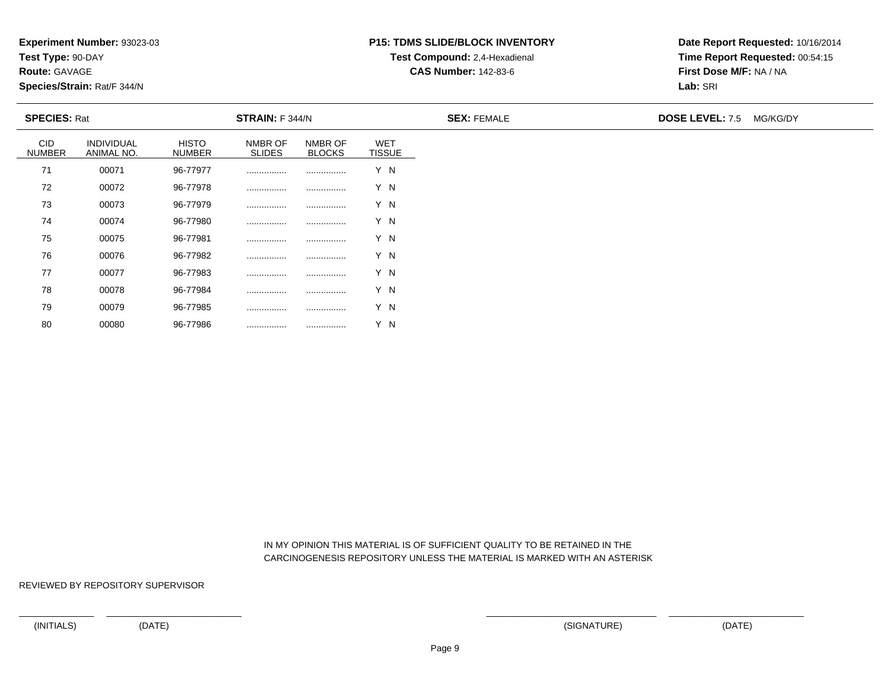**Test Type:** 90-DAY

**Route:** GAVAGE

80

**Species/Strain:** Rat/F 344/N

# **P15: TDMS SLIDE/BLOCK INVENTORYTest Compound:** 2,4-Hexadienal

**CAS Number:** 142-83-6

**Date Report Requested:** 10/16/2014**Time Report Requested:** 00:54:15**First Dose M/F:** NA / NA**Lab:** SRI

| <b>SPECIES: Rat</b>         |                          |                               | <b>STRAIN:</b> F 344/N   |                          |                             | <b>SEX: FEMALE</b> | <b>DOSE LEVEL: 7.5 MG/KG/DY</b> |  |
|-----------------------------|--------------------------|-------------------------------|--------------------------|--------------------------|-----------------------------|--------------------|---------------------------------|--|
| <b>CID</b><br><b>NUMBER</b> | INDIVIDUAL<br>ANIMAL NO. | <b>HISTO</b><br><b>NUMBER</b> | NMBR OF<br><b>SLIDES</b> | NMBR OF<br><b>BLOCKS</b> | <b>WET</b><br><b>TISSUE</b> |                    |                                 |  |
| 71                          | 00071                    | 96-77977                      | .                        | .                        | Y N                         |                    |                                 |  |
| 72                          | 00072                    | 96-77978                      |                          |                          | Y N                         |                    |                                 |  |
| 73                          | 00073                    | 96-77979                      |                          |                          | Y N                         |                    |                                 |  |
| 74                          | 00074                    | 96-77980                      |                          |                          | Y N                         |                    |                                 |  |
| 75                          | 00075                    | 96-77981                      |                          |                          | Y N                         |                    |                                 |  |
| 76                          | 00076                    | 96-77982                      |                          |                          | Y N                         |                    |                                 |  |
| 77                          | 00077                    | 96-77983                      |                          |                          | Y N                         |                    |                                 |  |
| 78                          | 00078                    | 96-77984                      |                          | .                        | Y N                         |                    |                                 |  |
| 79                          | 00079                    | 96-77985                      |                          |                          | Y N                         |                    |                                 |  |

 IN MY OPINION THIS MATERIAL IS OF SUFFICIENT QUALITY TO BE RETAINED IN THECARCINOGENESIS REPOSITORY UNLESS THE MATERIAL IS MARKED WITH AN ASTERISK

REVIEWED BY REPOSITORY SUPERVISOR

<sup>00080</sup> 96-77986 ................ ................ Y N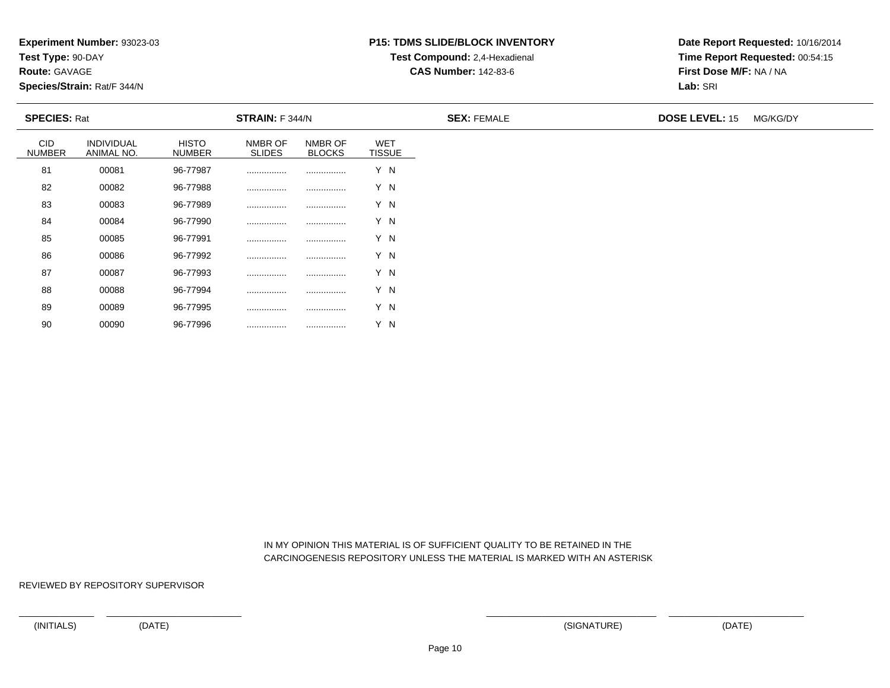**Test Type:** 90-DAY

**Route:** GAVAGE

90

**Species/Strain:** Rat/F 344/N

# **P15: TDMS SLIDE/BLOCK INVENTORYTest Compound:** 2,4-Hexadienal

**CAS Number:** 142-83-6

**Date Report Requested:** 10/16/2014**Time Report Requested:** 00:54:15**First Dose M/F:** NA / NA**Lab:** SRI

| <b>SPECIES: Rat</b>         |                          |                               | <b>STRAIN:</b> F 344/N   |                          |                             | <b>SEX: FEMALE</b> | <b>DOSE LEVEL: 15</b> | MG/KG/DY |
|-----------------------------|--------------------------|-------------------------------|--------------------------|--------------------------|-----------------------------|--------------------|-----------------------|----------|
| <b>CID</b><br><b>NUMBER</b> | INDIVIDUAL<br>ANIMAL NO. | <b>HISTO</b><br><b>NUMBER</b> | NMBR OF<br><b>SLIDES</b> | NMBR OF<br><b>BLOCKS</b> | <b>WET</b><br><b>TISSUE</b> |                    |                       |          |
| 81                          | 00081                    | 96-77987                      |                          |                          | Y N                         |                    |                       |          |
| 82                          | 00082                    | 96-77988                      |                          |                          | Y N                         |                    |                       |          |
| 83                          | 00083                    | 96-77989                      | .                        |                          | Y N                         |                    |                       |          |
| 84                          | 00084                    | 96-77990                      | .                        |                          | Y N                         |                    |                       |          |
| 85                          | 00085                    | 96-77991                      |                          |                          | Y N                         |                    |                       |          |
| 86                          | 00086                    | 96-77992                      |                          |                          | Y N                         |                    |                       |          |
| 87                          | 00087                    | 96-77993                      |                          |                          | Y N                         |                    |                       |          |
| 88                          | 00088                    | 96-77994                      | .                        |                          | Y N                         |                    |                       |          |
| 89                          | 00089                    | 96-77995                      |                          |                          | Y N                         |                    |                       |          |

 IN MY OPINION THIS MATERIAL IS OF SUFFICIENT QUALITY TO BE RETAINED IN THECARCINOGENESIS REPOSITORY UNLESS THE MATERIAL IS MARKED WITH AN ASTERISK

REVIEWED BY REPOSITORY SUPERVISOR

<sup>00090</sup> 96-77996 ................ ................ Y N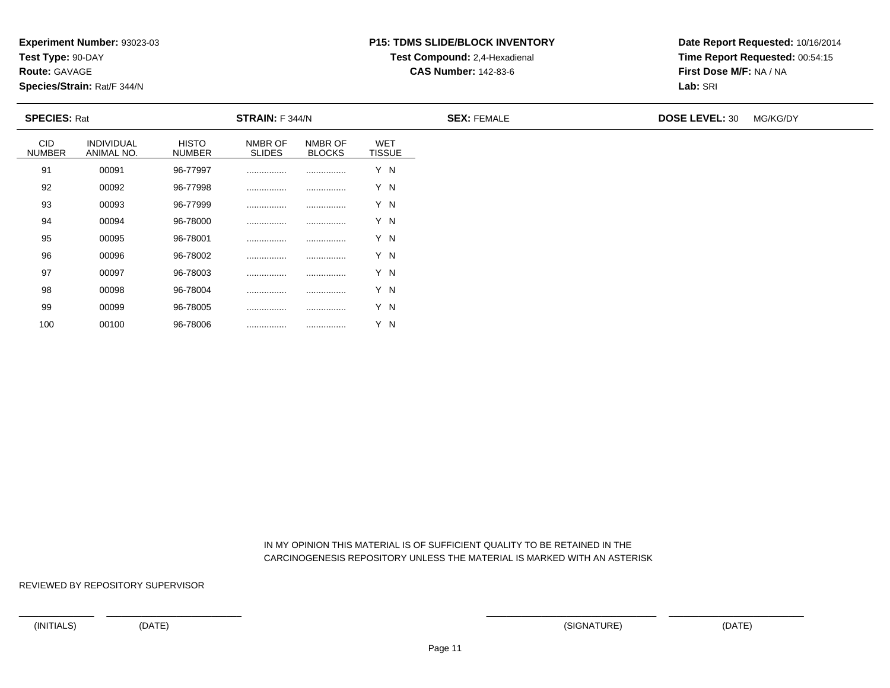**Test Type:** 90-DAY

**Route:** GAVAGE

100

**Species/Strain:** Rat/F 344/N

# **P15: TDMS SLIDE/BLOCK INVENTORYTest Compound:** 2,4-Hexadienal

**CAS Number:** 142-83-6

**Date Report Requested:** 10/16/2014**Time Report Requested:** 00:54:15**First Dose M/F:** NA / NA**Lab:** SRI

| <b>SPECIES: Rat</b>         |                          |                               | STRAIN: F 344/N          |                          |                             | <b>SEX: FEMALE</b> | <b>DOSE LEVEL: 30</b> | MG/KG/DY |
|-----------------------------|--------------------------|-------------------------------|--------------------------|--------------------------|-----------------------------|--------------------|-----------------------|----------|
| <b>CID</b><br><b>NUMBER</b> | INDIVIDUAL<br>ANIMAL NO. | <b>HISTO</b><br><b>NUMBER</b> | NMBR OF<br><b>SLIDES</b> | NMBR OF<br><b>BLOCKS</b> | <b>WET</b><br><b>TISSUE</b> |                    |                       |          |
| 91                          | 00091                    | 96-77997                      | .                        |                          | Y N                         |                    |                       |          |
| 92                          | 00092                    | 96-77998                      |                          |                          | Y N                         |                    |                       |          |
| 93                          | 00093                    | 96-77999                      |                          |                          | Y N                         |                    |                       |          |
| 94                          | 00094                    | 96-78000                      |                          |                          | Y N                         |                    |                       |          |
| 95                          | 00095                    | 96-78001                      |                          |                          | Y N                         |                    |                       |          |
| 96                          | 00096                    | 96-78002                      |                          |                          | Y N                         |                    |                       |          |
| 97                          | 00097                    | 96-78003                      |                          |                          | Y N                         |                    |                       |          |
| 98                          | 00098                    | 96-78004                      |                          |                          | Y N                         |                    |                       |          |
| 99                          | 00099                    | 96-78005                      |                          |                          | Y N                         |                    |                       |          |

 IN MY OPINION THIS MATERIAL IS OF SUFFICIENT QUALITY TO BE RETAINED IN THECARCINOGENESIS REPOSITORY UNLESS THE MATERIAL IS MARKED WITH AN ASTERISK

REVIEWED BY REPOSITORY SUPERVISOR

<sup>00100</sup> 96-78006 ................ ................ Y N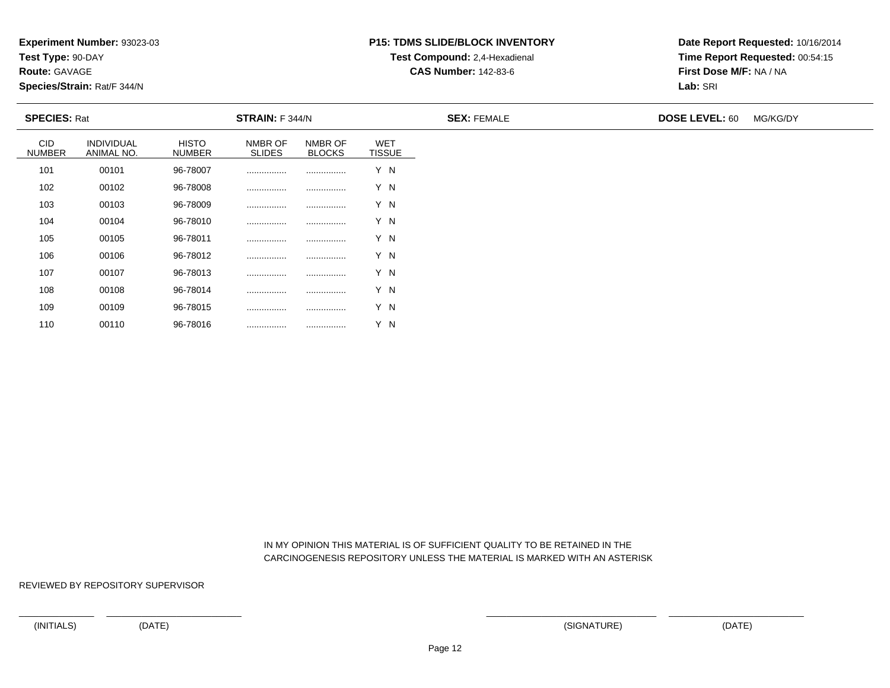**Test Type:** 90-DAY

**Route:** GAVAGE

110

**Species/Strain:** Rat/F 344/N

# **P15: TDMS SLIDE/BLOCK INVENTORYTest Compound:** 2,4-Hexadienal

**CAS Number:** 142-83-6

**Date Report Requested:** 10/16/2014**Time Report Requested:** 00:54:15**First Dose M/F:** NA / NA**Lab:** SRI

| <b>SPECIES: Rat</b>         |                          | <b>STRAIN:</b> F 344/N        |                          |                          |                             | <b>SEX: FEMALE</b> | <b>DOSE LEVEL: 60</b> | MG/KG/DY |
|-----------------------------|--------------------------|-------------------------------|--------------------------|--------------------------|-----------------------------|--------------------|-----------------------|----------|
| <b>CID</b><br><b>NUMBER</b> | INDIVIDUAL<br>ANIMAL NO. | <b>HISTO</b><br><b>NUMBER</b> | NMBR OF<br><b>SLIDES</b> | NMBR OF<br><b>BLOCKS</b> | <b>WET</b><br><b>TISSUE</b> |                    |                       |          |
| 101                         | 00101                    | 96-78007                      |                          |                          | Y N                         |                    |                       |          |
| 102                         | 00102                    | 96-78008                      |                          |                          | Y N                         |                    |                       |          |
| 103                         | 00103                    | 96-78009                      |                          |                          | Y N                         |                    |                       |          |
| 104                         | 00104                    | 96-78010                      |                          |                          | Y N                         |                    |                       |          |
| 105                         | 00105                    | 96-78011                      |                          |                          | Y N                         |                    |                       |          |
| 106                         | 00106                    | 96-78012                      |                          |                          | Y N                         |                    |                       |          |
| 107                         | 00107                    | 96-78013                      |                          |                          | Y N                         |                    |                       |          |
| 108                         | 00108                    | 96-78014                      |                          |                          | Y N                         |                    |                       |          |
| 109                         | 00109                    | 96-78015                      |                          |                          | Y N                         |                    |                       |          |

 IN MY OPINION THIS MATERIAL IS OF SUFFICIENT QUALITY TO BE RETAINED IN THECARCINOGENESIS REPOSITORY UNLESS THE MATERIAL IS MARKED WITH AN ASTERISK

REVIEWED BY REPOSITORY SUPERVISOR

<sup>00110</sup> 96-78016 ................ ................ Y N